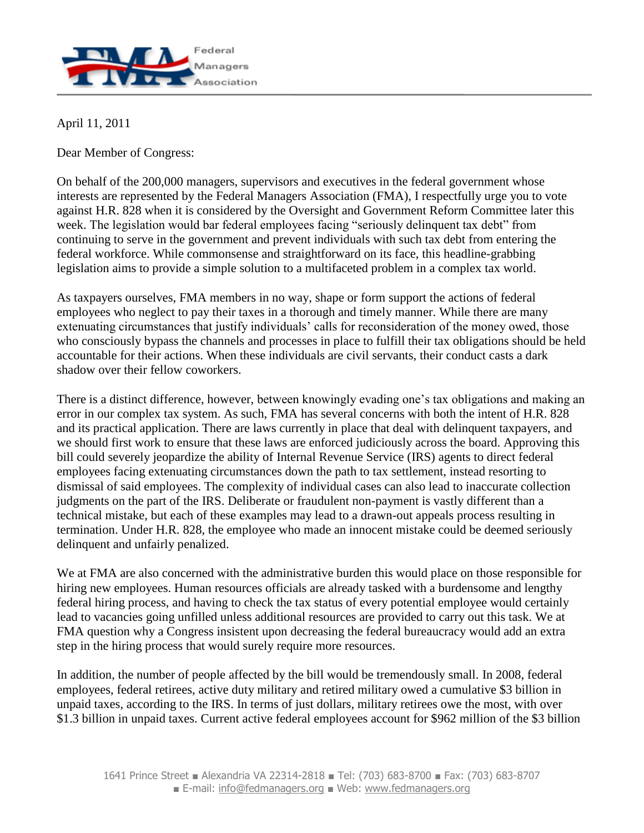

April 11, 2011

Dear Member of Congress:

On behalf of the 200,000 managers, supervisors and executives in the federal government whose interests are represented by the Federal Managers Association (FMA), I respectfully urge you to vote against H.R. 828 when it is considered by the Oversight and Government Reform Committee later this week. The legislation would bar federal employees facing "seriously delinquent tax debt" from continuing to serve in the government and prevent individuals with such tax debt from entering the federal workforce. While commonsense and straightforward on its face, this headline-grabbing legislation aims to provide a simple solution to a multifaceted problem in a complex tax world.

As taxpayers ourselves, FMA members in no way, shape or form support the actions of federal employees who neglect to pay their taxes in a thorough and timely manner. While there are many extenuating circumstances that justify individuals' calls for reconsideration of the money owed, those who consciously bypass the channels and processes in place to fulfill their tax obligations should be held accountable for their actions. When these individuals are civil servants, their conduct casts a dark shadow over their fellow coworkers.

There is a distinct difference, however, between knowingly evading one's tax obligations and making an error in our complex tax system. As such, FMA has several concerns with both the intent of H.R. 828 and its practical application. There are laws currently in place that deal with delinquent taxpayers, and we should first work to ensure that these laws are enforced judiciously across the board. Approving this bill could severely jeopardize the ability of Internal Revenue Service (IRS) agents to direct federal employees facing extenuating circumstances down the path to tax settlement, instead resorting to dismissal of said employees. The complexity of individual cases can also lead to inaccurate collection judgments on the part of the IRS. Deliberate or fraudulent non-payment is vastly different than a technical mistake, but each of these examples may lead to a drawn-out appeals process resulting in termination. Under H.R. 828, the employee who made an innocent mistake could be deemed seriously delinquent and unfairly penalized.

We at FMA are also concerned with the administrative burden this would place on those responsible for hiring new employees. Human resources officials are already tasked with a burdensome and lengthy federal hiring process, and having to check the tax status of every potential employee would certainly lead to vacancies going unfilled unless additional resources are provided to carry out this task. We at FMA question why a Congress insistent upon decreasing the federal bureaucracy would add an extra step in the hiring process that would surely require more resources.

In addition, the number of people affected by the bill would be tremendously small. In 2008, federal employees, federal retirees, active duty military and retired military owed a cumulative \$3 billion in unpaid taxes, according to the IRS. In terms of just dollars, military retirees owe the most, with over \$1.3 billion in unpaid taxes. Current active federal employees account for \$962 million of the \$3 billion